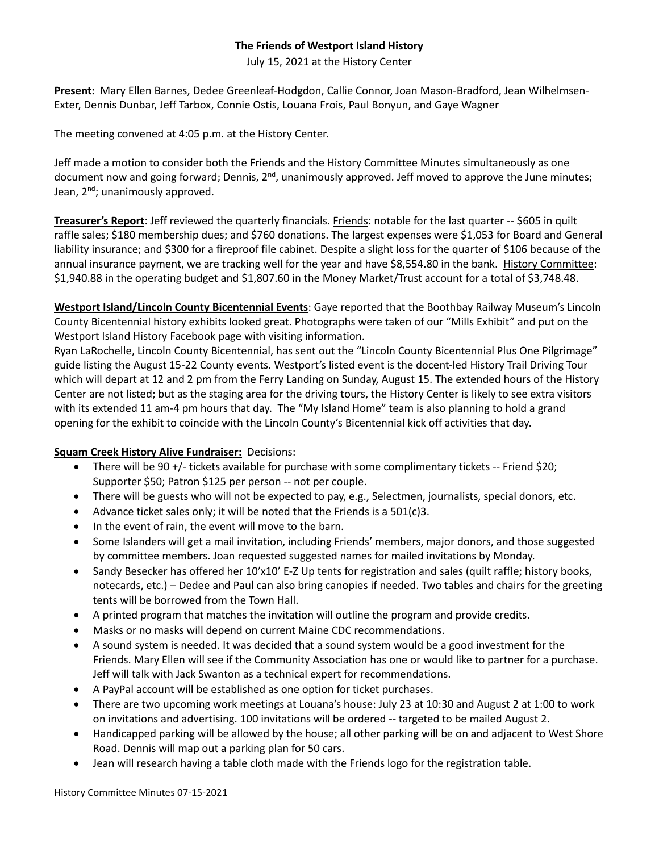## **The Friends of Westport Island History**

July 15, 2021 at the History Center

**Present:** Mary Ellen Barnes, Dedee Greenleaf-Hodgdon, Callie Connor, Joan Mason-Bradford, Jean Wilhelmsen-Exter, Dennis Dunbar, Jeff Tarbox, Connie Ostis, Louana Frois, Paul Bonyun, and Gaye Wagner

The meeting convened at 4:05 p.m. at the History Center.

Jeff made a motion to consider both the Friends and the History Committee Minutes simultaneously as one document now and going forward; Dennis, 2<sup>nd</sup>, unanimously approved. Jeff moved to approve the June minutes; Jean,  $2^{nd}$ ; unanimously approved.

**Treasurer's Report**: Jeff reviewed the quarterly financials. Friends: notable for the last quarter -- \$605 in quilt raffle sales; \$180 membership dues; and \$760 donations. The largest expenses were \$1,053 for Board and General liability insurance; and \$300 for a fireproof file cabinet. Despite a slight loss for the quarter of \$106 because of the annual insurance payment, we are tracking well for the year and have \$8,554.80 in the bank. History Committee: \$1,940.88 in the operating budget and \$1,807.60 in the Money Market/Trust account for a total of \$3,748.48.

**Westport Island/Lincoln County Bicentennial Events**: Gaye reported that the Boothbay Railway Museum's Lincoln County Bicentennial history exhibits looked great. Photographs were taken of our "Mills Exhibit" and put on the Westport Island History Facebook page with visiting information.

Ryan LaRochelle, Lincoln County Bicentennial, has sent out the "Lincoln County Bicentennial Plus One Pilgrimage" guide listing the August 15-22 County events. Westport's listed event is the docent-led History Trail Driving Tour which will depart at 12 and 2 pm from the Ferry Landing on Sunday, August 15. The extended hours of the History Center are not listed; but as the staging area for the driving tours, the History Center is likely to see extra visitors with its extended 11 am-4 pm hours that day. The "My Island Home" team is also planning to hold a grand opening for the exhibit to coincide with the Lincoln County's Bicentennial kick off activities that day.

## **Squam Creek History Alive Fundraiser:** Decisions:

- There will be 90 +/- tickets available for purchase with some complimentary tickets -- Friend \$20; Supporter \$50; Patron \$125 per person -- not per couple.
- There will be guests who will not be expected to pay, e.g., Selectmen, journalists, special donors, etc.
- Advance ticket sales only; it will be noted that the Friends is a 501(c)3.
- In the event of rain, the event will move to the barn.
- Some Islanders will get a mail invitation, including Friends' members, major donors, and those suggested by committee members. Joan requested suggested names for mailed invitations by Monday.
- Sandy Besecker has offered her 10'x10' E-Z Up tents for registration and sales (quilt raffle; history books, notecards, etc.) – Dedee and Paul can also bring canopies if needed. Two tables and chairs for the greeting tents will be borrowed from the Town Hall.
- A printed program that matches the invitation will outline the program and provide credits.
- Masks or no masks will depend on current Maine CDC recommendations.
- A sound system is needed. It was decided that a sound system would be a good investment for the Friends. Mary Ellen will see if the Community Association has one or would like to partner for a purchase. Jeff will talk with Jack Swanton as a technical expert for recommendations.
- A PayPal account will be established as one option for ticket purchases.
- There are two upcoming work meetings at Louana's house: July 23 at 10:30 and August 2 at 1:00 to work on invitations and advertising. 100 invitations will be ordered -- targeted to be mailed August 2.
- Handicapped parking will be allowed by the house; all other parking will be on and adjacent to West Shore Road. Dennis will map out a parking plan for 50 cars.
- Jean will research having a table cloth made with the Friends logo for the registration table.

History Committee Minutes 07-15-2021